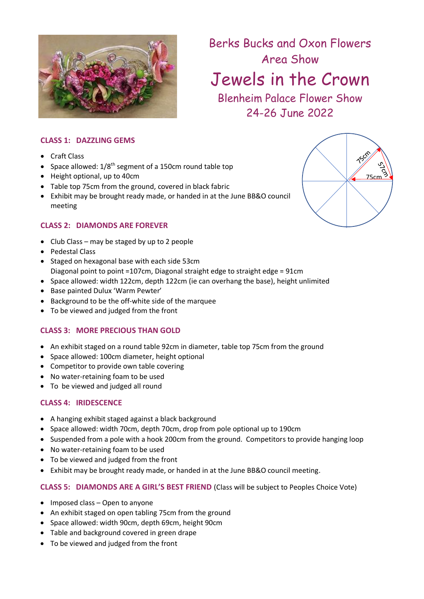

Berks Bucks and Oxon Flowers Area Show

Jewels in the Crown

Blenheim Palace Flower Show 24-26 June 2022

### **CLASS 1: DAZZLING GEMS**

- Craft Class
- Space allowed:  $1/8^{\text{th}}$  segment of a 150cm round table top
- Height optional, up to 40cm
- Table top 75cm from the ground, covered in black fabric
- Exhibit may be brought ready made, or handed in at the June BB&O council meeting

### **CLASS 2: DIAMONDS ARE FOREVER**

- Club Class may be staged by up to 2 people
- Pedestal Class
- Staged on hexagonal base with each side 53cm Diagonal point to point =107cm, Diagonal straight edge to straight edge = 91cm
- Space allowed: width 122cm, depth 122cm (ie can overhang the base), height unlimited
- Base painted Dulux 'Warm Pewter'
- Background to be the off-white side of the marquee
- To be viewed and judged from the front

#### **CLASS 3: MORE PRECIOUS THAN GOLD**

- An exhibit staged on a round table 92cm in diameter, table top 75cm from the ground
- Space allowed: 100cm diameter, height optional
- Competitor to provide own table covering
- No water-retaining foam to be used
- To be viewed and judged all round

#### **CLASS 4: IRIDESCENCE**

- A hanging exhibit staged against a black background
- Space allowed: width 70cm, depth 70cm, drop from pole optional up to 190cm
- Suspended from a pole with a hook 200cm from the ground. Competitors to provide hanging loop
- No water-retaining foam to be used
- To be viewed and judged from the front
- Exhibit may be brought ready made, or handed in at the June BB&O council meeting.

#### **CLASS 5: DIAMONDS ARE A GIRL'S BEST FRIEND** (Class will be subject to Peoples Choice Vote)

- Imposed class Open to anyone
- An exhibit staged on open tabling 75cm from the ground
- Space allowed: width 90cm, depth 69cm, height 90cm
- Table and background covered in green drape
- To be viewed and judged from the front